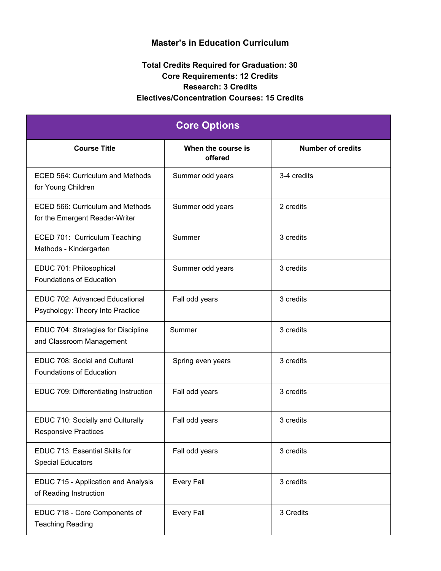## **Master's in Education Curriculum**

## **Total Credits Required for Graduation: 30 Core Requirements: 12 Credits Research: 3 Credits Electives/Concentration Courses: 15 Credits**

| <b>Core Options</b>                                                |                               |                          |
|--------------------------------------------------------------------|-------------------------------|--------------------------|
| <b>Course Title</b>                                                | When the course is<br>offered | <b>Number of credits</b> |
| ECED 564: Curriculum and Methods<br>for Young Children             | Summer odd years              | 3-4 credits              |
| ECED 566: Curriculum and Methods<br>for the Emergent Reader-Writer | Summer odd years              | 2 credits                |
| ECED 701: Curriculum Teaching<br>Methods - Kindergarten            | Summer                        | 3 credits                |
| EDUC 701: Philosophical<br>Foundations of Education                | Summer odd years              | 3 credits                |
| EDUC 702: Advanced Educational<br>Psychology: Theory Into Practice | Fall odd years                | 3 credits                |
| EDUC 704: Strategies for Discipline<br>and Classroom Management    | Summer                        | 3 credits                |
| EDUC 708: Social and Cultural<br>Foundations of Education          | Spring even years             | 3 credits                |
| EDUC 709: Differentiating Instruction                              | Fall odd years                | 3 credits                |
| EDUC 710: Socially and Culturally<br><b>Responsive Practices</b>   | Fall odd years                | 3 credits                |
| EDUC 713: Essential Skills for<br><b>Special Educators</b>         | Fall odd years                | 3 credits                |
| EDUC 715 - Application and Analysis<br>of Reading Instruction      | <b>Every Fall</b>             | 3 credits                |
| EDUC 718 - Core Components of<br><b>Teaching Reading</b>           | <b>Every Fall</b>             | 3 Credits                |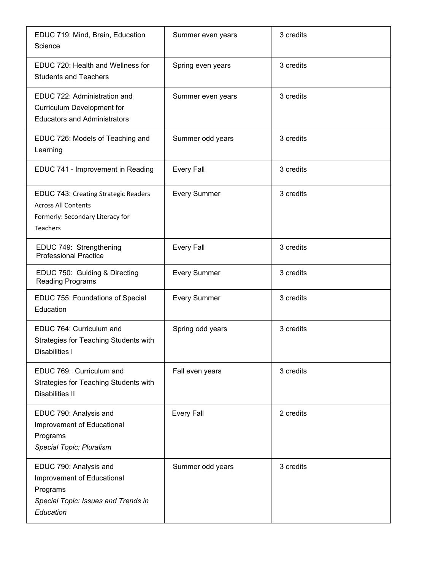| EDUC 719: Mind, Brain, Education<br>Science                                                                               | Summer even years   | 3 credits |
|---------------------------------------------------------------------------------------------------------------------------|---------------------|-----------|
| EDUC 720: Health and Wellness for<br><b>Students and Teachers</b>                                                         | Spring even years   | 3 credits |
| EDUC 722: Administration and<br><b>Curriculum Development for</b><br><b>Educators and Administrators</b>                  | Summer even years   | 3 credits |
| EDUC 726: Models of Teaching and<br>Learning                                                                              | Summer odd years    | 3 credits |
| EDUC 741 - Improvement in Reading                                                                                         | <b>Every Fall</b>   | 3 credits |
| EDUC 743: Creating Strategic Readers<br><b>Across All Contents</b><br>Formerly: Secondary Literacy for<br><b>Teachers</b> | <b>Every Summer</b> | 3 credits |
| EDUC 749: Strengthening<br><b>Professional Practice</b>                                                                   | <b>Every Fall</b>   | 3 credits |
| EDUC 750: Guiding & Directing<br>Reading Programs                                                                         | <b>Every Summer</b> | 3 credits |
| EDUC 755: Foundations of Special<br>Education                                                                             | <b>Every Summer</b> | 3 credits |
| EDUC 764: Curriculum and<br>Strategies for Teaching Students with<br>Disabilities I                                       | Spring odd years    | 3 credits |
| EDUC 769: Curriculum and<br>Strategies for Teaching Students with<br><b>Disabilities II</b>                               | Fall even years     | 3 credits |
| EDUC 790: Analysis and<br>Improvement of Educational<br>Programs<br>Special Topic: Pluralism                              | <b>Every Fall</b>   | 2 credits |
| EDUC 790: Analysis and<br>Improvement of Educational<br>Programs<br>Special Topic: Issues and Trends in<br>Education      | Summer odd years    | 3 credits |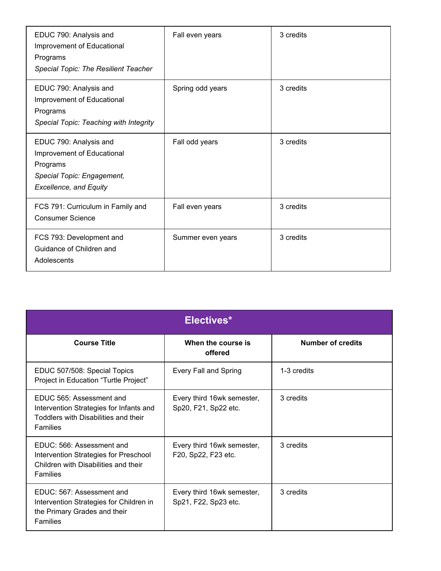| EDUC 790: Analysis and<br>Improvement of Educational<br>Programs<br><b>Special Topic: The Resilient Teacher</b>                 | Fall even years   | 3 credits |
|---------------------------------------------------------------------------------------------------------------------------------|-------------------|-----------|
| EDUC 790: Analysis and<br>Improvement of Educational<br>Programs<br>Special Topic: Teaching with Integrity                      | Spring odd years  | 3 credits |
| EDUC 790: Analysis and<br>Improvement of Educational<br>Programs<br>Special Topic: Engagement,<br><b>Excellence, and Equity</b> | Fall odd years    | 3 credits |
| FCS 791: Curriculum in Family and<br><b>Consumer Science</b>                                                                    | Fall even years   | 3 credits |
| FCS 793: Development and<br>Guidance of Children and<br>Adolescents                                                             | Summer even years | 3 credits |

| Electives*                                                                                                                     |                                                    |                          |
|--------------------------------------------------------------------------------------------------------------------------------|----------------------------------------------------|--------------------------|
| <b>Course Title</b>                                                                                                            | When the course is<br>offered                      | <b>Number of credits</b> |
| EDUC 507/508: Special Topics<br>Project in Education "Turtle Project"                                                          | <b>Every Fall and Spring</b>                       | 1-3 credits              |
| EDUC 565: Assessment and<br>Intervention Strategies for Infants and<br>Toddlers with Disabilities and their<br><b>Families</b> | Every third 16wk semester,<br>Sp20, F21, Sp22 etc. | 3 credits                |
| EDUC: 566: Assessment and<br>Intervention Strategies for Preschool<br>Children with Disabilities and their<br><b>Families</b>  | Every third 16wk semester,<br>F20, Sp22, F23 etc.  | 3 credits                |
| EDUC: 567: Assessment and<br>Intervention Strategies for Children in<br>the Primary Grades and their<br><b>Families</b>        | Every third 16wk semester,<br>Sp21, F22, Sp23 etc. | 3 credits                |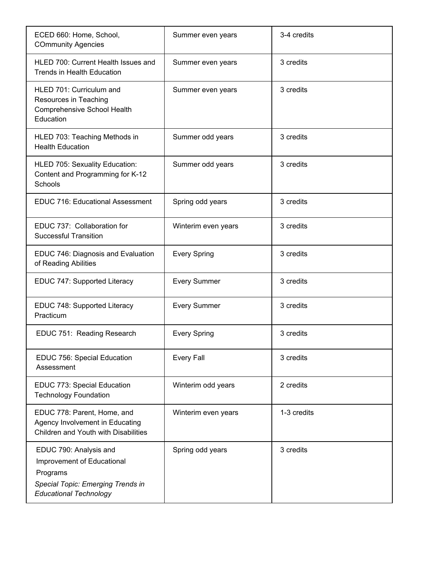| ECED 660: Home, School,<br><b>COmmunity Agencies</b>                                                                                   | Summer even years   | 3-4 credits |
|----------------------------------------------------------------------------------------------------------------------------------------|---------------------|-------------|
| HLED 700: Current Health Issues and<br><b>Trends in Health Education</b>                                                               | Summer even years   | 3 credits   |
| HLED 701: Curriculum and<br>Resources in Teaching<br>Comprehensive School Health<br>Education                                          | Summer even years   | 3 credits   |
| HLED 703: Teaching Methods in<br><b>Health Education</b>                                                                               | Summer odd years    | 3 credits   |
| HLED 705: Sexuality Education:<br>Content and Programming for K-12<br>Schools                                                          | Summer odd years    | 3 credits   |
| <b>EDUC 716: Educational Assessment</b>                                                                                                | Spring odd years    | 3 credits   |
| EDUC 737: Collaboration for<br><b>Successful Transition</b>                                                                            | Winterim even years | 3 credits   |
| EDUC 746: Diagnosis and Evaluation<br>of Reading Abilities                                                                             | <b>Every Spring</b> | 3 credits   |
| EDUC 747: Supported Literacy                                                                                                           | <b>Every Summer</b> | 3 credits   |
| EDUC 748: Supported Literacy<br>Practicum                                                                                              | <b>Every Summer</b> | 3 credits   |
| EDUC 751: Reading Research                                                                                                             | <b>Every Spring</b> | 3 credits   |
| EDUC 756: Special Education<br>Assessment                                                                                              | <b>Every Fall</b>   | 3 credits   |
| EDUC 773: Special Education<br><b>Technology Foundation</b>                                                                            | Winterim odd years  | 2 credits   |
| EDUC 778: Parent, Home, and<br>Agency Involvement in Educating<br>Children and Youth with Disabilities                                 | Winterim even years | 1-3 credits |
| EDUC 790: Analysis and<br>Improvement of Educational<br>Programs<br>Special Topic: Emerging Trends in<br><b>Educational Technology</b> | Spring odd years    | 3 credits   |